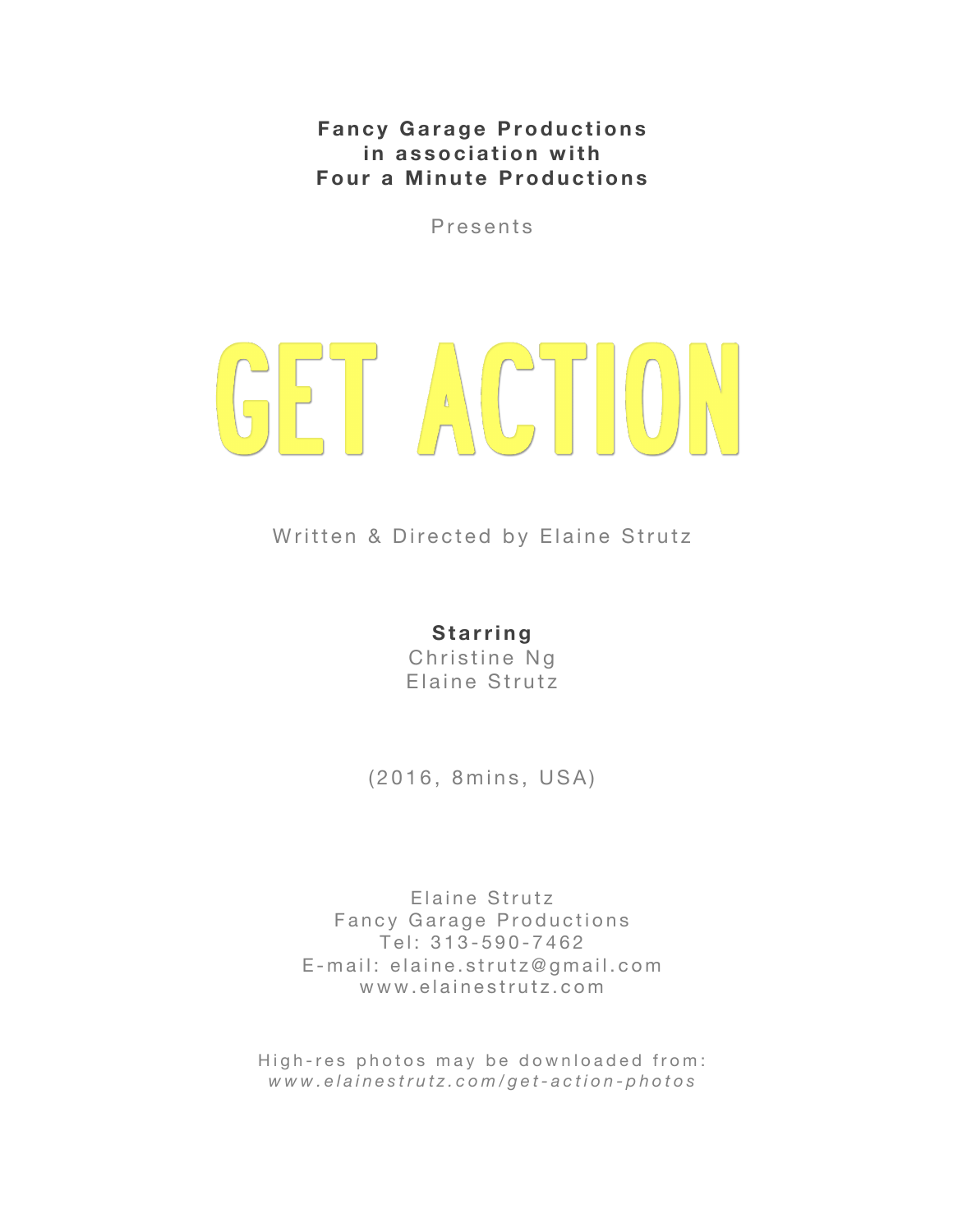**Fancy Garage Productions in association with Four a Minute Productions**

P r e sents

# GET ACTION

Written & Directed by Elaine Strutz

#### **Starring**

Christine Ng Elaine Strutz

(2016, 8mins, USA)

Elaine Strutz Fancy Garage Productions Tel: 313 - 590 - 7462 E - mail: elaine.strutz@gmail.com www.elainestrutz.com

High-res photos may be downloaded from: *www.elainestrutz.com/get- action - photos*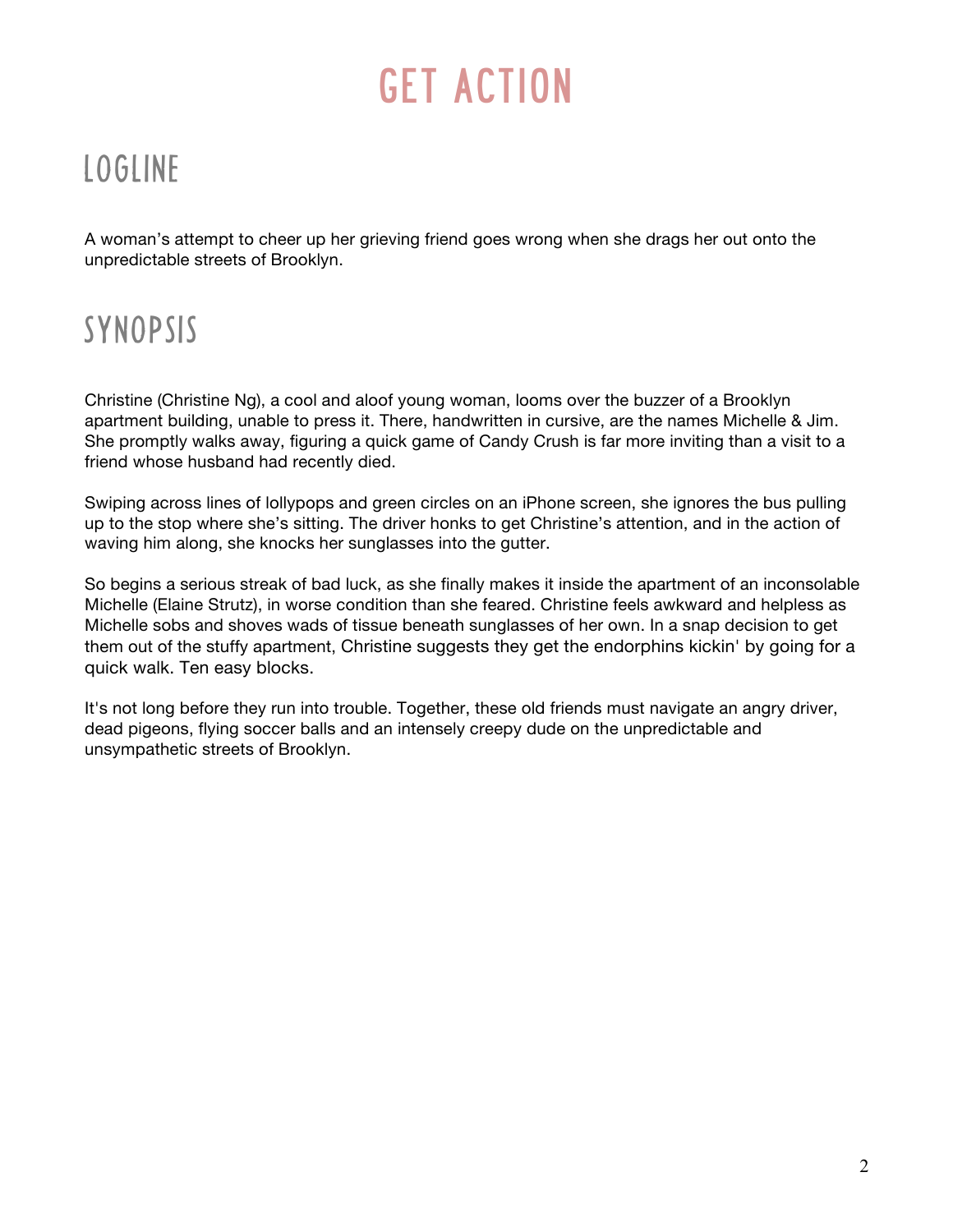### LOGLINE

A woman's attempt to cheer up her grieving friend goes wrong when she drags her out onto the unpredictable streets of Brooklyn.

## SYNOPSIS

Christine (Christine Ng), a cool and aloof young woman, looms over the buzzer of a Brooklyn apartment building, unable to press it. There, handwritten in cursive, are the names Michelle & Jim. She promptly walks away, figuring a quick game of Candy Crush is far more inviting than a visit to a friend whose husband had recently died.

Swiping across lines of lollypops and green circles on an iPhone screen, she ignores the bus pulling up to the stop where she's sitting. The driver honks to get Christine's attention, and in the action of waving him along, she knocks her sunglasses into the gutter.

So begins a serious streak of bad luck, as she finally makes it inside the apartment of an inconsolable Michelle (Elaine Strutz), in worse condition than she feared. Christine feels awkward and helpless as Michelle sobs and shoves wads of tissue beneath sunglasses of her own. In a snap decision to get them out of the stuffy apartment, Christine suggests they get the endorphins kickin' by going for a quick walk. Ten easy blocks.

It's not long before they run into trouble. Together, these old friends must navigate an angry driver, dead pigeons, flying soccer balls and an intensely creepy dude on the unpredictable and unsympathetic streets of Brooklyn.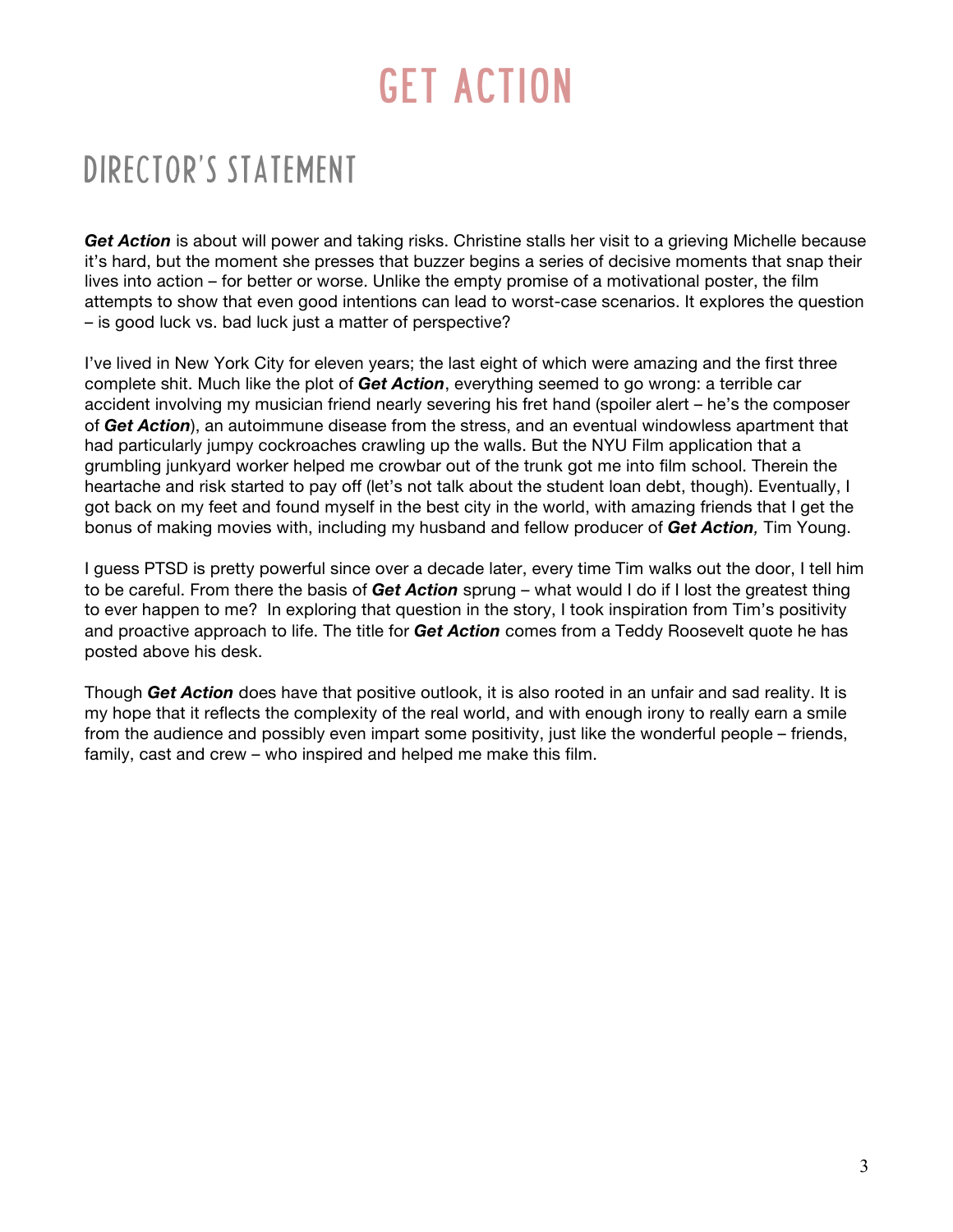### DIRECTOR'S STATEMENT

*Get Action* is about will power and taking risks. Christine stalls her visit to a grieving Michelle because it's hard, but the moment she presses that buzzer begins a series of decisive moments that snap their lives into action – for better or worse. Unlike the empty promise of a motivational poster, the film attempts to show that even good intentions can lead to worst-case scenarios. It explores the question – is good luck vs. bad luck just a matter of perspective?

I've lived in New York City for eleven years; the last eight of which were amazing and the first three complete shit. Much like the plot of *Get Action*, everything seemed to go wrong: a terrible car accident involving my musician friend nearly severing his fret hand (spoiler alert – he's the composer of *Get Action*), an autoimmune disease from the stress, and an eventual windowless apartment that had particularly jumpy cockroaches crawling up the walls. But the NYU Film application that a grumbling junkyard worker helped me crowbar out of the trunk got me into film school. Therein the heartache and risk started to pay off (let's not talk about the student loan debt, though). Eventually, I got back on my feet and found myself in the best city in the world, with amazing friends that I get the bonus of making movies with, including my husband and fellow producer of *Get Action,* Tim Young.

I guess PTSD is pretty powerful since over a decade later, every time Tim walks out the door, I tell him to be careful. From there the basis of *Get Action* sprung – what would I do if I lost the greatest thing to ever happen to me? In exploring that question in the story, I took inspiration from Tim's positivity and proactive approach to life. The title for *Get Action* comes from a Teddy Roosevelt quote he has posted above his desk.

Though *Get Action* does have that positive outlook, it is also rooted in an unfair and sad reality. It is my hope that it reflects the complexity of the real world, and with enough irony to really earn a smile from the audience and possibly even impart some positivity, just like the wonderful people – friends, family, cast and crew – who inspired and helped me make this film.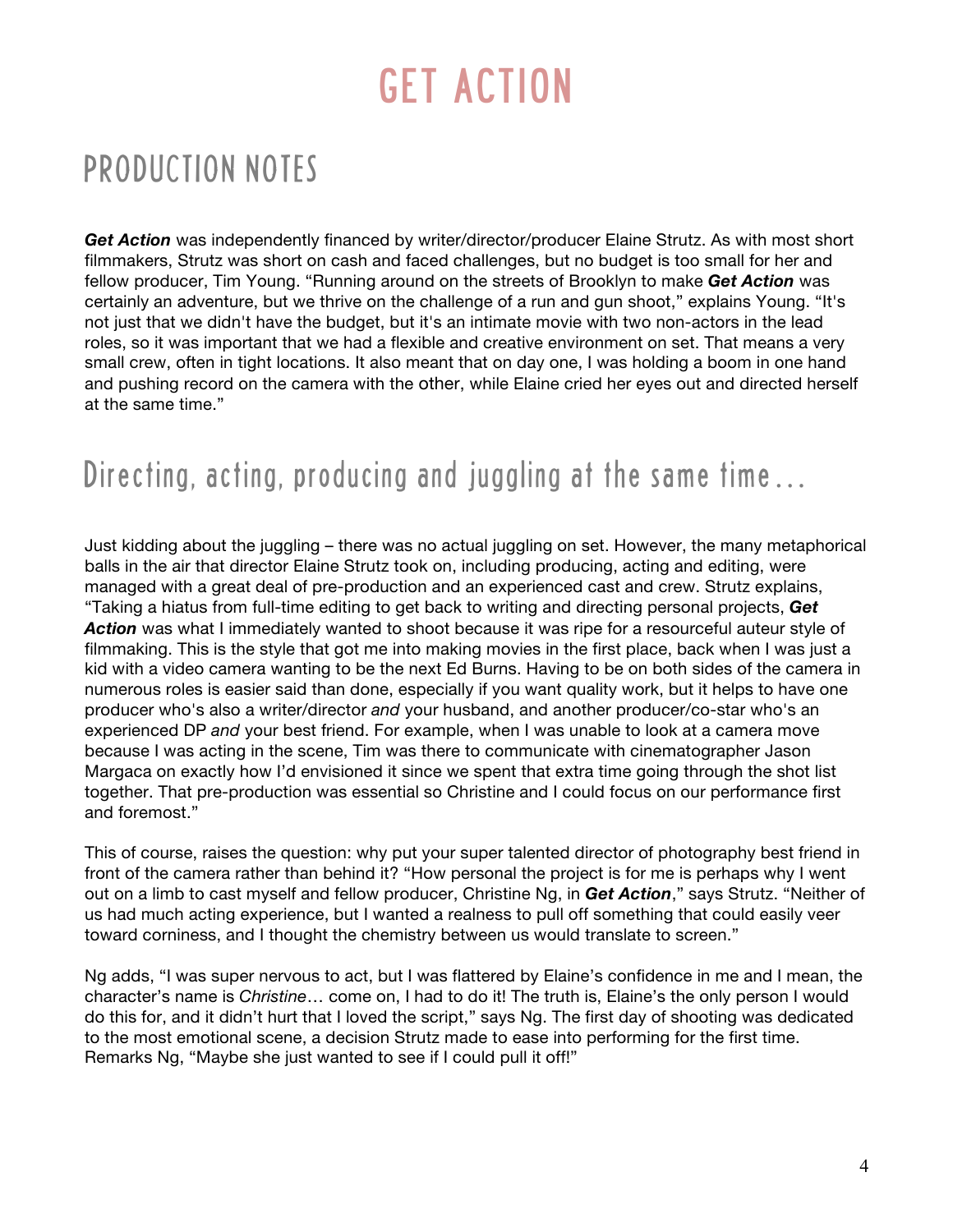### PRODUCTION NOTES

Get Action was independently financed by writer/director/producer Elaine Strutz. As with most short filmmakers, Strutz was short on cash and faced challenges, but no budget is too small for her and fellow producer, Tim Young. "Running around on the streets of Brooklyn to make *Get Action* was certainly an adventure, but we thrive on the challenge of a run and gun shoot," explains Young. "It's not just that we didn't have the budget, but it's an intimate movie with two non-actors in the lead roles, so it was important that we had a flexible and creative environment on set. That means a very small crew, often in tight locations. It also meant that on day one, I was holding a boom in one hand and pushing record on the camera with the other, while Elaine cried her eyes out and directed herself at the same time."

### Directing, acting, producing and juggling at the same time…

Just kidding about the juggling – there was no actual juggling on set. However, the many metaphorical balls in the air that director Elaine Strutz took on, including producing, acting and editing, were managed with a great deal of pre-production and an experienced cast and crew. Strutz explains, "Taking a hiatus from full-time editing to get back to writing and directing personal projects, *Get Action* was what I immediately wanted to shoot because it was ripe for a resourceful auteur style of filmmaking. This is the style that got me into making movies in the first place, back when I was just a kid with a video camera wanting to be the next Ed Burns. Having to be on both sides of the camera in numerous roles is easier said than done, especially if you want quality work, but it helps to have one producer who's also a writer/director *and* your husband, and another producer/co-star who's an experienced DP *and* your best friend. For example, when I was unable to look at a camera move because I was acting in the scene, Tim was there to communicate with cinematographer Jason Margaca on exactly how I'd envisioned it since we spent that extra time going through the shot list together. That pre-production was essential so Christine and I could focus on our performance first and foremost."

This of course, raises the question: why put your super talented director of photography best friend in front of the camera rather than behind it? "How personal the project is for me is perhaps why I went out on a limb to cast myself and fellow producer, Christine Ng, in *Get Action*," says Strutz. "Neither of us had much acting experience, but I wanted a realness to pull off something that could easily veer toward corniness, and I thought the chemistry between us would translate to screen."

Ng adds, "I was super nervous to act, but I was flattered by Elaine's confidence in me and I mean, the character's name is *Christine*… come on, I had to do it! The truth is, Elaine's the only person I would do this for, and it didn't hurt that I loved the script," says Ng. The first day of shooting was dedicated to the most emotional scene, a decision Strutz made to ease into performing for the first time. Remarks Ng, "Maybe she just wanted to see if I could pull it off!"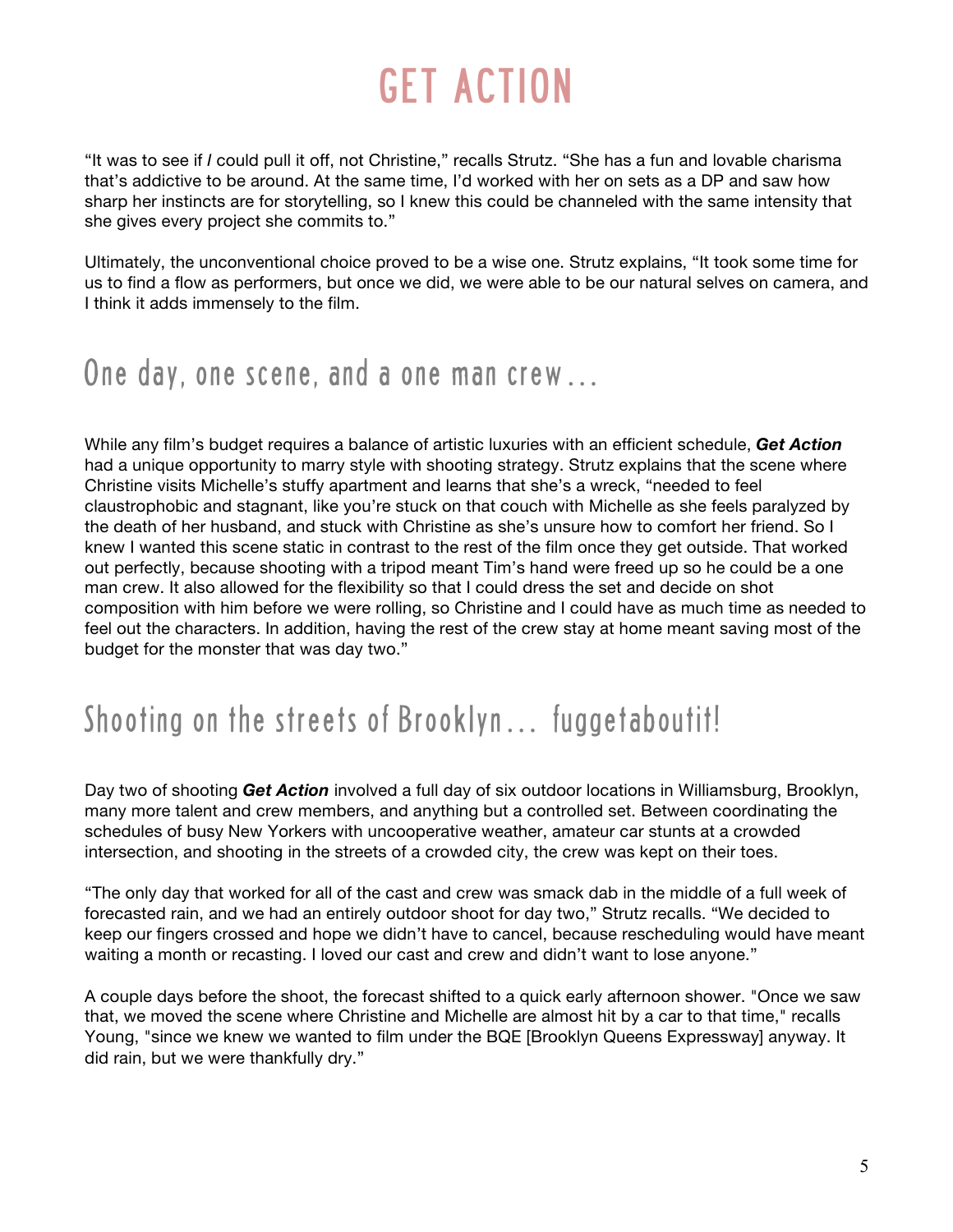"It was to see if *I* could pull it off, not Christine," recalls Strutz. "She has a fun and lovable charisma that's addictive to be around. At the same time, I'd worked with her on sets as a DP and saw how sharp her instincts are for storytelling, so I knew this could be channeled with the same intensity that she gives every project she commits to."

Ultimately, the unconventional choice proved to be a wise one. Strutz explains, "It took some time for us to find a flow as performers, but once we did, we were able to be our natural selves on camera, and I think it adds immensely to the film.

#### One day, one scene, and a one man crew…

While any film's budget requires a balance of artistic luxuries with an efficient schedule, *Get Action*  had a unique opportunity to marry style with shooting strategy. Strutz explains that the scene where Christine visits Michelle's stuffy apartment and learns that she's a wreck, "needed to feel claustrophobic and stagnant, like you're stuck on that couch with Michelle as she feels paralyzed by the death of her husband, and stuck with Christine as she's unsure how to comfort her friend. So I knew I wanted this scene static in contrast to the rest of the film once they get outside. That worked out perfectly, because shooting with a tripod meant Tim's hand were freed up so he could be a one man crew. It also allowed for the flexibility so that I could dress the set and decide on shot composition with him before we were rolling, so Christine and I could have as much time as needed to feel out the characters. In addition, having the rest of the crew stay at home meant saving most of the budget for the monster that was day two."

### Shooting on the streets of Brooklyn... fuggetaboutit!

Day two of shooting *Get Action* involved a full day of six outdoor locations in Williamsburg, Brooklyn, many more talent and crew members, and anything but a controlled set. Between coordinating the schedules of busy New Yorkers with uncooperative weather, amateur car stunts at a crowded intersection, and shooting in the streets of a crowded city, the crew was kept on their toes.

"The only day that worked for all of the cast and crew was smack dab in the middle of a full week of forecasted rain, and we had an entirely outdoor shoot for day two," Strutz recalls. "We decided to keep our fingers crossed and hope we didn't have to cancel, because rescheduling would have meant waiting a month or recasting. I loved our cast and crew and didn't want to lose anyone."

A couple days before the shoot, the forecast shifted to a quick early afternoon shower. "Once we saw that, we moved the scene where Christine and Michelle are almost hit by a car to that time," recalls Young, "since we knew we wanted to film under the BQE [Brooklyn Queens Expressway] anyway. It did rain, but we were thankfully dry."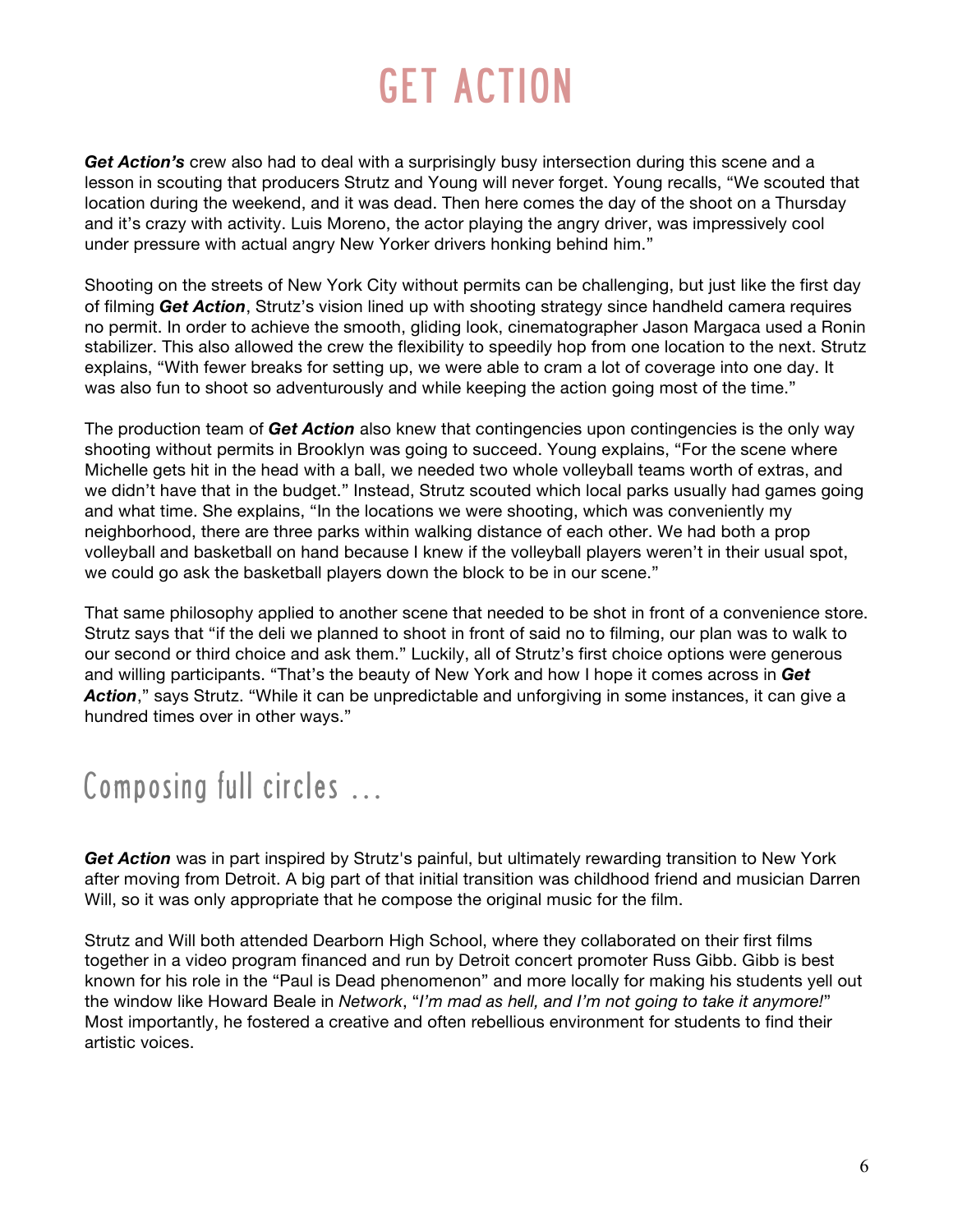Get Action's crew also had to deal with a surprisingly busy intersection during this scene and a lesson in scouting that producers Strutz and Young will never forget. Young recalls, "We scouted that location during the weekend, and it was dead. Then here comes the day of the shoot on a Thursday and it's crazy with activity. Luis Moreno, the actor playing the angry driver, was impressively cool under pressure with actual angry New Yorker drivers honking behind him."

Shooting on the streets of New York City without permits can be challenging, but just like the first day of filming *Get Action*, Strutz's vision lined up with shooting strategy since handheld camera requires no permit. In order to achieve the smooth, gliding look, cinematographer Jason Margaca used a Ronin stabilizer. This also allowed the crew the flexibility to speedily hop from one location to the next. Strutz explains, "With fewer breaks for setting up, we were able to cram a lot of coverage into one day. It was also fun to shoot so adventurously and while keeping the action going most of the time."

The production team of *Get Action* also knew that contingencies upon contingencies is the only way shooting without permits in Brooklyn was going to succeed. Young explains, "For the scene where Michelle gets hit in the head with a ball, we needed two whole volleyball teams worth of extras, and we didn't have that in the budget." Instead, Strutz scouted which local parks usually had games going and what time. She explains, "In the locations we were shooting, which was conveniently my neighborhood, there are three parks within walking distance of each other. We had both a prop volleyball and basketball on hand because I knew if the volleyball players weren't in their usual spot, we could go ask the basketball players down the block to be in our scene."

That same philosophy applied to another scene that needed to be shot in front of a convenience store. Strutz says that "if the deli we planned to shoot in front of said no to filming, our plan was to walk to our second or third choice and ask them." Luckily, all of Strutz's first choice options were generous and willing participants. "That's the beauty of New York and how I hope it comes across in *Get Action*," says Strutz. "While it can be unpredictable and unforgiving in some instances, it can give a hundred times over in other ways."

### Composing full circles …

*Get Action* was in part inspired by Strutz's painful, but ultimately rewarding transition to New York after moving from Detroit. A big part of that initial transition was childhood friend and musician Darren Will, so it was only appropriate that he compose the original music for the film.

Strutz and Will both attended Dearborn High School, where they collaborated on their first films together in a video program financed and run by Detroit concert promoter Russ Gibb. Gibb is best known for his role in the "Paul is Dead phenomenon" and more locally for making his students yell out the window like Howard Beale in *Network*, "*I'm mad as hell, and I'm not going to take it anymore!*" Most importantly, he fostered a creative and often rebellious environment for students to find their artistic voices.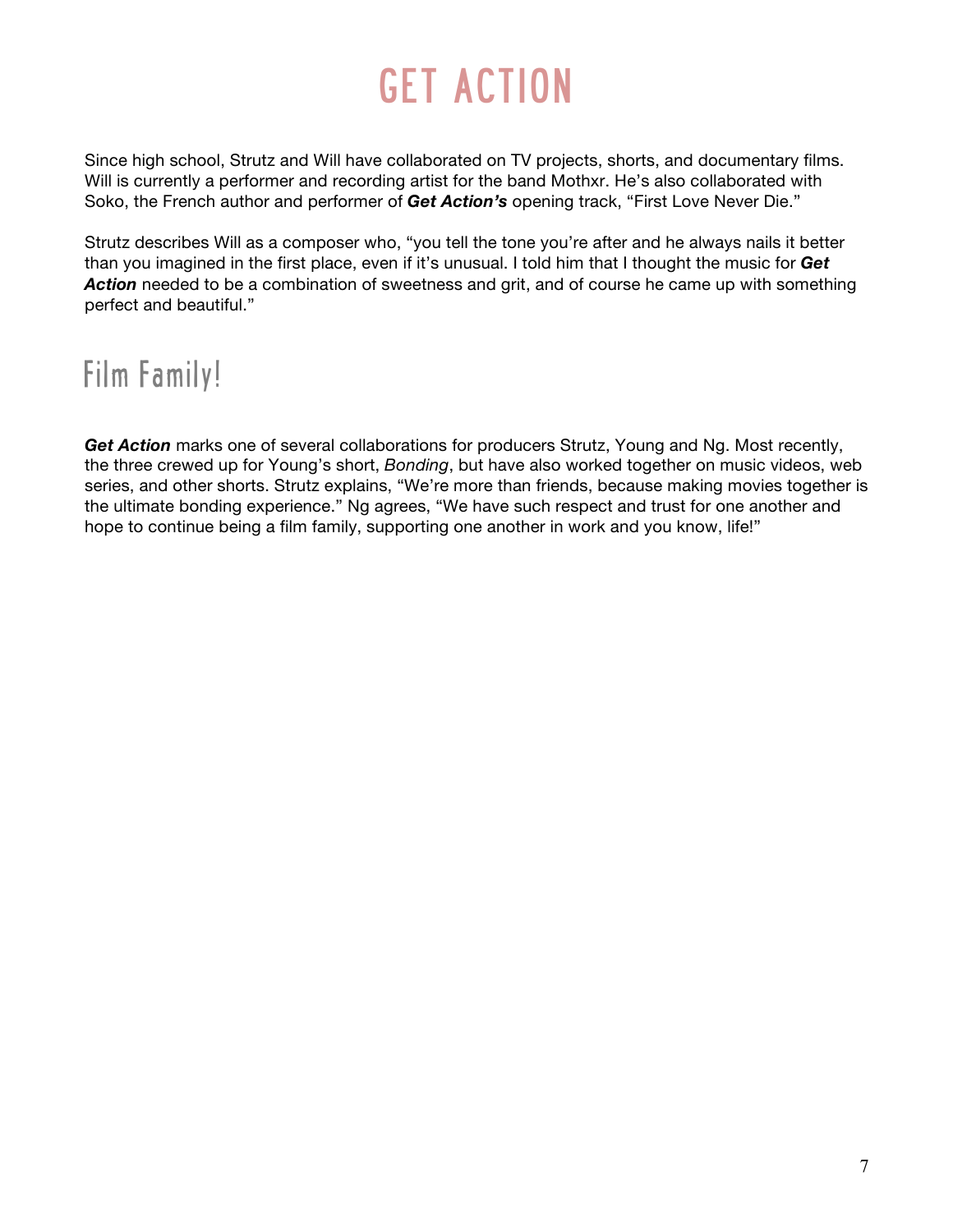Since high school, Strutz and Will have collaborated on TV projects, shorts, and documentary films. Will is currently a performer and recording artist for the band Mothxr. He's also collaborated with Soko, the French author and performer of *Get Action's* opening track, "First Love Never Die."

Strutz describes Will as a composer who, "you tell the tone you're after and he always nails it better than you imagined in the first place, even if it's unusual. I told him that I thought the music for *Get Action* needed to be a combination of sweetness and grit, and of course he came up with something perfect and beautiful."

### Film Family!

Get Action marks one of several collaborations for producers Strutz, Young and Ng. Most recently, the three crewed up for Young's short, *Bonding*, but have also worked together on music videos, web series, and other shorts. Strutz explains, "We're more than friends, because making movies together is the ultimate bonding experience." Ng agrees, "We have such respect and trust for one another and hope to continue being a film family, supporting one another in work and you know, life!"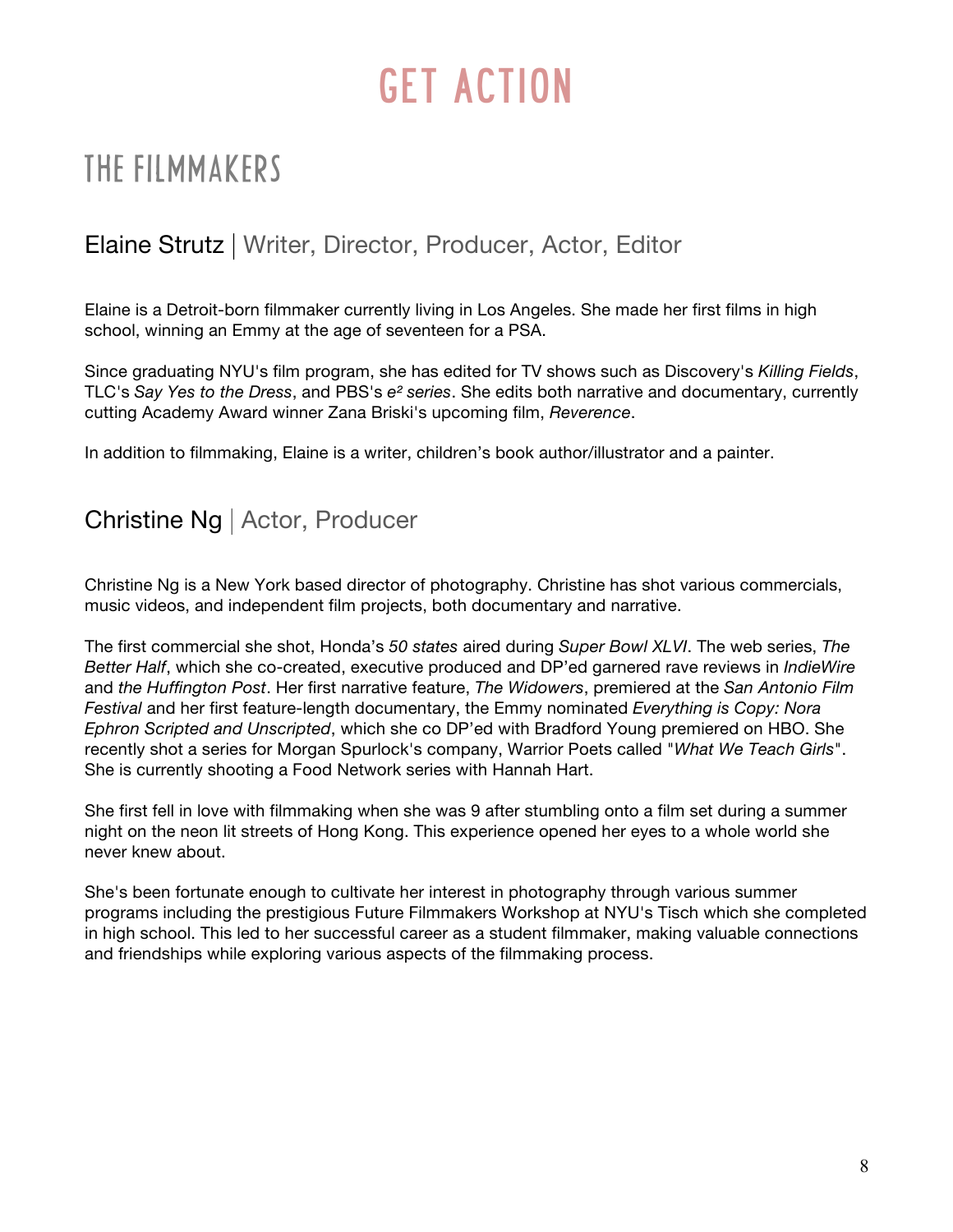### THE FILMMAKERS

#### Elaine Strutz | Writer, Director, Producer, Actor, Editor

Elaine is a Detroit-born filmmaker currently living in Los Angeles. She made her first films in high school, winning an Emmy at the age of seventeen for a PSA.

Since graduating NYU's film program, she has edited for TV shows such as Discovery's *Killing Fields*, TLC's *Say Yes to the Dress*, and PBS's *e² series*. She edits both narrative and documentary, currently cutting Academy Award winner Zana Briski's upcoming film, *Reverence*.

In addition to filmmaking, Elaine is a writer, children's book author/illustrator and a painter.

#### Christine Ng | Actor, Producer

Christine Ng is a New York based director of photography. Christine has shot various commercials, music videos, and independent film projects, both documentary and narrative.

The first commercial she shot, Honda's *50 states* aired during *Super Bowl XLVI*. The web series, *The Better Half*, which she co-created, executive produced and DP'ed garnered rave reviews in *IndieWire* and *the Huffington Post*. Her first narrative feature, *The Widowers*, premiered at the *San Antonio Film Festival* and her first feature-length documentary, the Emmy nominated *Everything is Copy: Nora Ephron Scripted and Unscripted*, which she co DP'ed with Bradford Young premiered on HBO. She recently shot a series for Morgan Spurlock's company, Warrior Poets called "*What We Teach Girls*". She is currently shooting a Food Network series with Hannah Hart.

She first fell in love with filmmaking when she was 9 after stumbling onto a film set during a summer night on the neon lit streets of Hong Kong. This experience opened her eyes to a whole world she never knew about.

She's been fortunate enough to cultivate her interest in photography through various summer programs including the prestigious Future Filmmakers Workshop at NYU's Tisch which she completed in high school. This led to her successful career as a student filmmaker, making valuable connections and friendships while exploring various aspects of the filmmaking process.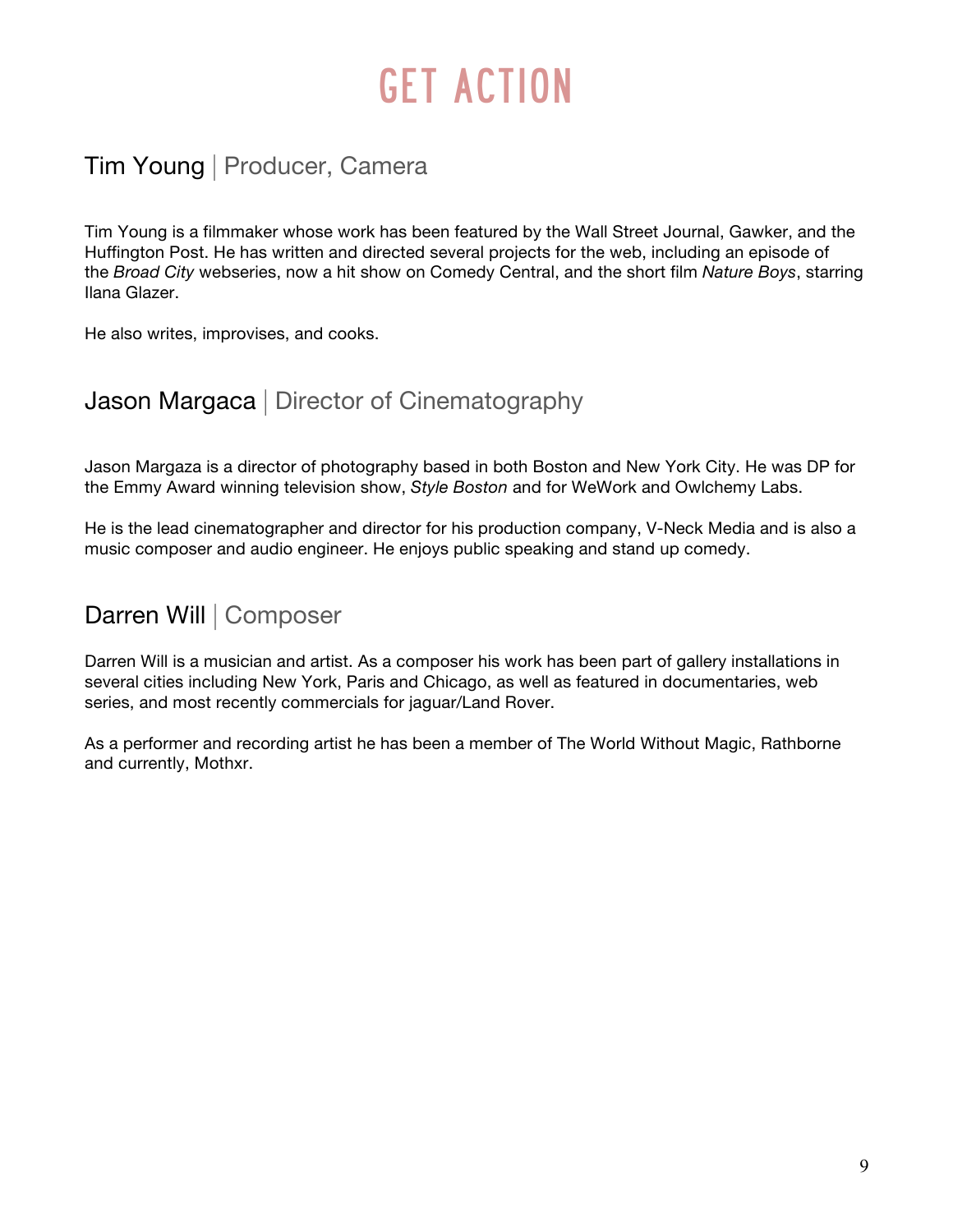#### Tim Young | Producer, Camera

Tim Young is a filmmaker whose work has been featured by the Wall Street Journal, Gawker, and the Huffington Post. He has written and directed several projects for the web, including an episode of the *Broad City* webseries, now a hit show on Comedy Central, and the short film *Nature Boys*, starring Ilana Glazer.

He also writes, improvises, and cooks.

#### Jason Margaca | Director of Cinematography

Jason Margaza is a director of photography based in both Boston and New York City. He was DP for the Emmy Award winning television show, *Style Boston* and for WeWork and Owlchemy Labs.

He is the lead cinematographer and director for his production company, V-Neck Media and is also a music composer and audio engineer. He enjoys public speaking and stand up comedy.

#### Darren Will | Composer

Darren Will is a musician and artist. As a composer his work has been part of gallery installations in several cities including New York, Paris and Chicago, as well as featured in documentaries, web series, and most recently commercials for jaguar/Land Rover.

As a performer and recording artist he has been a member of The World Without Magic, Rathborne and currently, Mothxr.